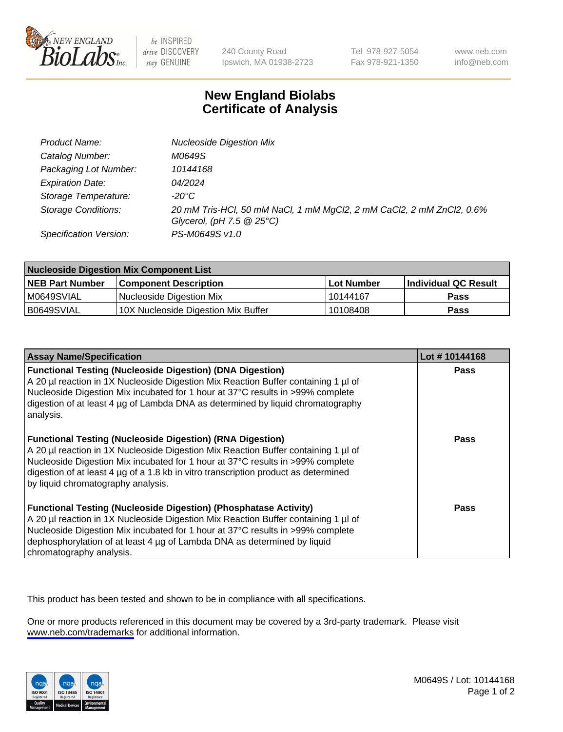

be INSPIRED drive DISCOVERY stay GENUINE

240 County Road Ipswich, MA 01938-2723 Tel 978-927-5054 Fax 978-921-1350

www.neb.com info@neb.com

## **New England Biolabs Certificate of Analysis**

| Product Name:              | <b>Nucleoside Digestion Mix</b>                                                                                           |
|----------------------------|---------------------------------------------------------------------------------------------------------------------------|
| Catalog Number:            | M0649S                                                                                                                    |
| Packaging Lot Number:      | 10144168                                                                                                                  |
| <b>Expiration Date:</b>    | 04/2024                                                                                                                   |
| Storage Temperature:       | -20°C                                                                                                                     |
| <b>Storage Conditions:</b> | 20 mM Tris-HCl, 50 mM NaCl, 1 mM MgCl2, 2 mM CaCl2, 2 mM ZnCl2, 0.6%<br>Glycerol, (pH $7.5 \textcircled{2} 25^{\circ}$ C) |
| Specification Version:     | PS-M0649S v1.0                                                                                                            |

| <b>Nucleoside Digestion Mix Component List</b> |                                     |            |                      |  |
|------------------------------------------------|-------------------------------------|------------|----------------------|--|
| <b>NEB Part Number</b>                         | <b>Component Description</b>        | Lot Number | Individual QC Result |  |
| M0649SVIAL                                     | Nucleoside Digestion Mix            | 10144167   | <b>Pass</b>          |  |
| B0649SVIAL                                     | 10X Nucleoside Digestion Mix Buffer | 10108408   | Pass                 |  |

| <b>Assay Name/Specification</b>                                                                                                                                                                                                                                                                                                                                       | Lot #10144168 |
|-----------------------------------------------------------------------------------------------------------------------------------------------------------------------------------------------------------------------------------------------------------------------------------------------------------------------------------------------------------------------|---------------|
| <b>Functional Testing (Nucleoside Digestion) (DNA Digestion)</b><br>A 20 µl reaction in 1X Nucleoside Digestion Mix Reaction Buffer containing 1 µl of<br>Nucleoside Digestion Mix incubated for 1 hour at 37°C results in >99% complete<br>digestion of at least 4 µg of Lambda DNA as determined by liguid chromatography<br>analysis.                              | <b>Pass</b>   |
| <b>Functional Testing (Nucleoside Digestion) (RNA Digestion)</b><br>A 20 µl reaction in 1X Nucleoside Digestion Mix Reaction Buffer containing 1 µl of<br>Nucleoside Digestion Mix incubated for 1 hour at 37°C results in >99% complete<br>digestion of at least 4 µg of a 1.8 kb in vitro transcription product as determined<br>by liquid chromatography analysis. | Pass          |
| <b>Functional Testing (Nucleoside Digestion) (Phosphatase Activity)</b><br>A 20 µl reaction in 1X Nucleoside Digestion Mix Reaction Buffer containing 1 µl of<br>Nucleoside Digestion Mix incubated for 1 hour at 37°C results in >99% complete<br>dephosphorylation of at least 4 µg of Lambda DNA as determined by liquid<br>chromatography analysis.               | <b>Pass</b>   |

This product has been tested and shown to be in compliance with all specifications.

One or more products referenced in this document may be covered by a 3rd-party trademark. Please visit <www.neb.com/trademarks>for additional information.